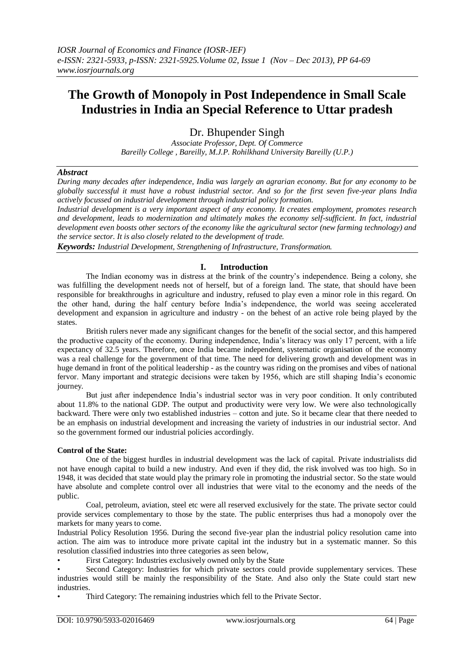# **The Growth of Monopoly in Post Independence in Small Scale Industries in India an Special Reference to Uttar pradesh**

Dr. Bhupender Singh

*Associate Professor, Dept. Of Commerce Bareilly College , Bareilly, M.J.P. Rohilkhand University Bareilly (U.P.)*

# *Abstract*

*During many decades after independence, India was largely an agrarian economy. But for any economy to be globally successful it must have a robust industrial sector. And so for the first seven five-year plans India actively focussed on industrial development through industrial policy formation.* 

*Industrial development is a very important aspect of any economy. It creates employment, promotes research and development, leads to modernization and ultimately makes the economy self-sufficient. In fact, industrial development even boosts other sectors of the economy like the agricultural sector (new farming technology) and the service sector. It is also closely related to the development of trade.*

*Keywords: Industrial Development, Strengthening of Infrastructure, Transformation.*

## **I. Introduction**

The Indian economy was in distress at the brink of the country's independence. Being a colony, she was fulfilling the development needs not of herself, but of a foreign land. The state, that should have been responsible for breakthroughs in agriculture and industry, refused to play even a minor role in this regard. On the other hand, during the half century before India's independence, the world was seeing accelerated development and expansion in agriculture and industry - on the behest of an active role being played by the states.

British rulers never made any significant changes for the benefit of the social sector, and this hampered the productive capacity of the economy. During independence, India's literacy was only 17 percent, with a life expectancy of 32.5 years. Therefore, once India became independent, systematic organisation of the economy was a real challenge for the government of that time. The need for delivering growth and development was in huge demand in front of the political leadership - as the country was riding on the promises and vibes of national fervor. Many important and strategic decisions were taken by 1956, which are still shaping India's economic journey.

But just after independence India's industrial sector was in very poor condition. It only contributed about 11.8% to the national GDP. The output and productivity were very low. We were also technologically backward. There were only two established industries – cotton and jute. So it became clear that there needed to be an emphasis on industrial development and increasing the variety of industries in our industrial sector. And so the government formed our industrial policies accordingly.

#### **Control of the State:**

One of the biggest hurdles in industrial development was the lack of capital. Private industrialists did not have enough capital to build a new industry. And even if they did, the risk involved was too high. So in 1948, it was decided that state would play the primary role in promoting the industrial sector. So the state would have absolute and complete control over all industries that were vital to the economy and the needs of the public.

Coal, petroleum, aviation, steel etc were all reserved exclusively for the state. The private sector could provide services complementary to those by the state. The public enterprises thus had a monopoly over the markets for many years to come.

Industrial Policy Resolution 1956. During the second five-year plan the industrial policy resolution came into action. The aim was to introduce more private capital int the industry but in a systematic manner. So this resolution classified industries into three categories as seen below,

• First Category: Industries exclusively owned only by the State

Second Category: Industries for which private sectors could provide supplementary services. These industries would still be mainly the responsibility of the State. And also only the State could start new industries.

• Third Category: The remaining industries which fell to the Private Sector.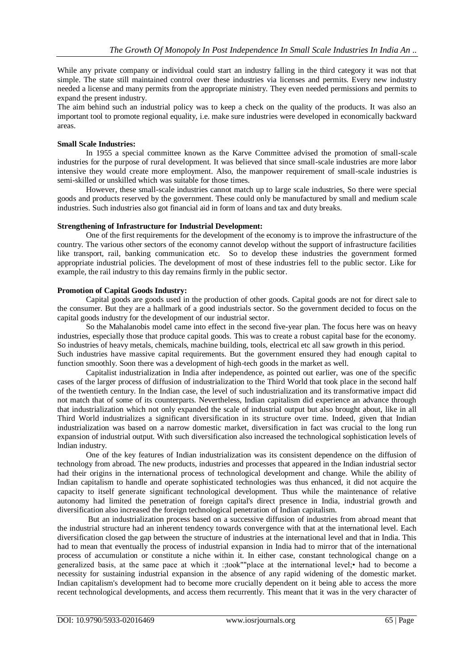While any private company or individual could start an industry falling in the third category it was not that simple. The state still maintained control over these industries via licenses and permits. Every new industry needed a license and many permits from the appropriate ministry. They even needed permissions and permits to expand the present industry.

The aim behind such an industrial policy was to keep a check on the quality of the products. It was also an important tool to promote regional equality, i.e. make sure industries were developed in economically backward areas.

## **Small Scale Industries:**

In 1955 a special committee known as the Karve Committee advised the promotion of small-scale industries for the purpose of rural development. It was believed that since small-scale industries are more labor intensive they would create more employment. Also, the manpower requirement of small-scale industries is semi-skilled or unskilled which was suitable for those times.

However, these small-scale industries cannot match up to large scale industries, So there were special goods and products reserved by the government. These could only be manufactured by small and medium scale industries. Such industries also got financial aid in form of loans and tax and duty breaks.

## **Strengthening of Infrastructure for Industrial Development:**

One of the first requirements for the development of the economy is to improve the infrastructure of the country. The various other sectors of the economy cannot develop without the support of infrastructure facilities like transport, rail, banking communication etc. So to develop these industries the government formed appropriate industrial policies. The development of most of these industries fell to the public sector. Like for example, the rail industry to this day remains firmly in the public sector.

## **Promotion of Capital Goods Industry:**

Capital goods are goods used in the production of other goods. Capital goods are not for direct sale to the consumer. But they are a hallmark of a good industrials sector. So the government decided to focus on the capital goods industry for the development of our industrial sector.

So the Mahalanobis model came into effect in the second five-year plan. The focus here was on heavy industries, especially those that produce capital goods. This was to create a robust capital base for the economy. So industries of heavy metals, chemicals, machine building, tools, electrical etc all saw growth in this period. Such industries have massive capital requirements. But the government ensured they had enough capital to function smoothly. Soon there was a development of high-tech goods in the market as well.

Capitalist industrialization in India after independence, as pointed out earlier, was one of the specific cases of the larger process of diffusion of industrialization to the Third World that took place in the second half of the twentieth century. In the Indian case, the level of such industrialization and its transformative impact did not match that of some of its counterparts. Nevertheless, Indian capitalism did experience an advance through that industrialization which not only expanded the scale of industrial output but also brought about, like in all Third World industrializes a significant diversification in its structure over time. Indeed, given that Indian industrialization was based on a narrow domestic market, diversification in fact was crucial to the long run expansion of industrial output. With such diversification also increased the technological sophistication levels of lndian industry.

One of the key features of Indian industrialization was its consistent dependence on the diffusion of technology from abroad. The new products, industries and processes that appeared in the Indian industrial sector had their origins in the international process of technological development and change. While the ability of Indian capitalism to handle and operate sophisticated technologies was thus enhanced, it did not acquire the capacity to itself generate significant technological development. Thus while the maintenance of relative autonomy had limited the penetration of foreign capital's direct presence in India, industrial growth and diversification also increased the foreign technological penetration of Indian capitalism.

But an industrialization process based on a successive diffusion of industries from abroad meant that the industrial structure had an inherent tendency towards convergence with that at the international level. Each diversification closed the gap between the structure of industries at the international level and that in India. This had to mean that eventually the process of industrial expansion in India had to mirror that of the international process of accumulation or constitute a niche within it. In either case, constant technological change on a generalized basis, at the same pace at which it :;took""place at the international level;• had to become a necessity for sustaining industrial expansion in the absence of any rapid widening of the domestic market. Indian capitalism's development had to become more crucially dependent on it being able to access the more recent technological developments, and access them recurrently. This meant that it was in the very character of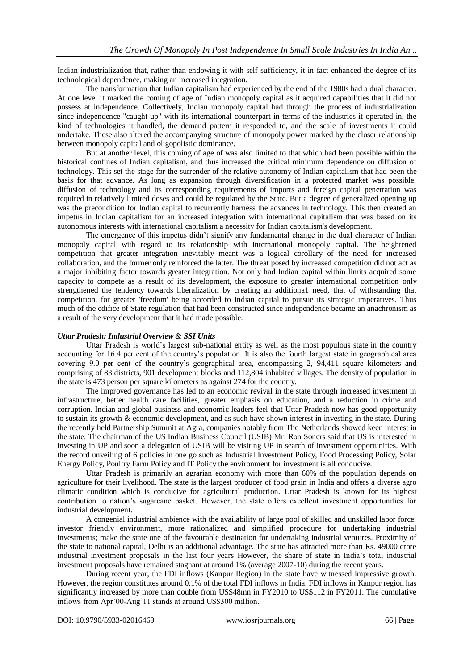Indian industrialization that, rather than endowing it with self-sufficiency, it in fact enhanced the degree of its technological dependence, making an increased integration.

The transformation that Indian capitalism had experienced by the end of the 1980s had a dual character. At one level it marked the coming of age of Indian monopoly capital as it acquired capabilities that it did not possess at independence. Collectively, Indian monopoly capital had through the process of industrialization since independence "caught up" with its international counterpart in terms of the industries it operated in, the kind of technologies it handled, the demand pattern it responded to, and the scale of investments it could undertake. These also altered the accompanying structure of monopoly power marked by the closer relationship between monopoly capital and oligopolistic dominance.

But at another level, this coming of age of was also limited to that which had been possible within the historical confines of Indian capitalism, and thus increased the critical minimum dependence on diffusion of technology. This set the stage for the surrender of the relative autonomy of Indian capitalism that had been the basis for that advance. As long as expansion through diversification in a protected market was possible, diffusion of technology and its corresponding requirements of imports and foreign capital penetration was required in relatively limited doses and could be regulated by the State. But a degree of generalized opening up was the precondition for Indian capital to recurrently harness the advances in technology. This then created an impetus in Indian capitalism for an increased integration with international capitalism that was based on its autonomous interests with international capitalism a necessity for Indian capitalism's development.

The emergence of this impetus didn't signify any fundamental change in the dual character of Indian monopoly capital with regard to its relationship with international monopoly capital. The heightened competition that greater integration inevitably meant was a logical corollary of the need for increased collaboration, and the former only reinforced the latter. The threat posed by increased competition did not act as a major inhibiting factor towards greater integration. Not only had Indian capital within limits acquired some capacity to compete as a result of its development, the exposure to greater international competition only strengthened the tendency towards liberalization by creating an additiona1 need, that of withstanding that competition, for greater 'freedom' being accorded to Indian capital to pursue its strategic imperatives. Thus much of the edifice of State regulation that had been constructed since independence became an anachronism as a result of the very development that it had made possible.

## *Uttar Pradesh: Industrial Overview & SSI Units*

Uttar Pradesh is world's largest sub-national entity as well as the most populous state in the country accounting for 16.4 per cent of the country's population. It is also the fourth largest state in geographical area covering 9.0 per cent of the country's geographical area, encompassing 2, 94,411 square kilometers and comprising of 83 districts, 901 development blocks and 112,804 inhabited villages. The density of population in the state is 473 person per square kilometers as against 274 for the country.

The improved governance has led to an economic revival in the state through increased investment in infrastructure, better health care facilities, greater emphasis on education, and a reduction in crime and corruption. Indian and global business and economic leaders feel that Uttar Pradesh now has good opportunity to sustain its growth & economic development, and as such have shown interest in investing in the state. During the recently held Partnership Summit at Agra, companies notably from The Netherlands showed keen interest in the state. The chairman of the US Indian Business Council (USIB) Mr. Ron Soners said that US is interested in investing in UP and soon a delegation of USIB will be visiting UP in search of investment opportunities. With the record unveiling of 6 policies in one go such as Industrial Investment Policy, Food Processing Policy, Solar Energy Policy, Poultry Farm Policy and IT Policy the environment for investment is all conducive.

Uttar Pradesh is primarily an agrarian economy with more than 60% of the population depends on agriculture for their livelihood. The state is the largest producer of food grain in India and offers a diverse agro climatic condition which is conducive for agricultural production. Uttar Pradesh is known for its highest contribution to nation's sugarcane basket. However, the state offers excellent investment opportunities for industrial development.

A congenial industrial ambience with the availability of large pool of skilled and unskilled labor force, investor friendly environment, more rationalized and simplified procedure for undertaking industrial investments; make the state one of the favourable destination for undertaking industrial ventures. Proximity of the state to national capital, Delhi is an additional advantage. The state has attracted more than Rs. 49000 crore industrial investment proposals in the last four years However, the share of state in India's total industrial investment proposals have remained stagnant at around 1% (average 2007-10) during the recent years.

During recent year, the FDI inflows (Kanpur Region) in the state have witnessed impressive growth. However, the region constitutes around 0.1% of the total FDI inflows in India. FDI inflows in Kanpur region has significantly increased by more than double from US\$48mn in FY2010 to US\$112 in FY2011. The cumulative inflows from Apr'00-Aug'11 stands at around US\$300 million.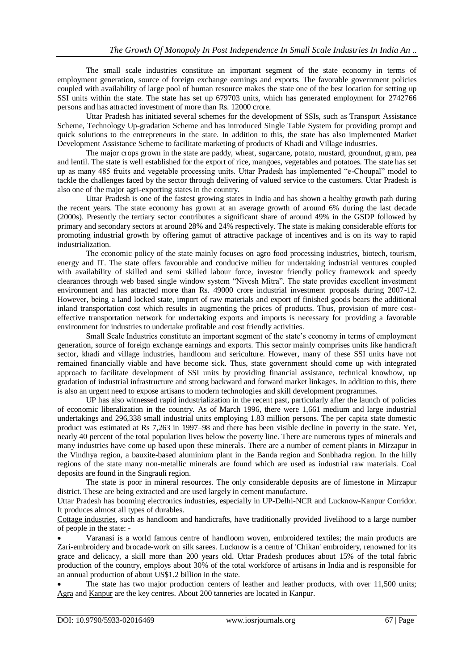The small scale industries constitute an important segment of the state economy in terms of employment generation, source of foreign exchange earnings and exports. The favorable government policies coupled with availability of large pool of human resource makes the state one of the best location for setting up SSI units within the state. The state has set up 679703 units, which has generated employment for 2742766 persons and has attracted investment of more than Rs. 12000 crore.

Uttar Pradesh has initiated several schemes for the development of SSIs, such as Transport Assistance Scheme, Technology Up-gradation Scheme and has introduced Single Table System for providing prompt and quick solutions to the entrepreneurs in the state. In addition to this, the state has also implemented Market Development Assistance Scheme to facilitate marketing of products of Khadi and Village industries.

The major crops grown in the state are paddy, wheat, sugarcane, potato, mustard, groundnut, gram, pea and lentil. The state is well established for the export of rice, mangoes, vegetables and potatoes. The state has set up as many 485 fruits and vegetable processing units. Uttar Pradesh has implemented "e-Choupal" model to tackle the challenges faced by the sector through delivering of valued service to the customers. Uttar Pradesh is also one of the major agri-exporting states in the country.

Uttar Pradesh is one of the fastest growing states in India and has shown a healthy growth path during the recent years. The state economy has grown at an average growth of around 6% during the last decade (2000s). Presently the tertiary sector contributes a significant share of around 49% in the GSDP followed by primary and secondary sectors at around 28% and 24% respectively. The state is making considerable efforts for promoting industrial growth by offering gamut of attractive package of incentives and is on its way to rapid industrialization.

The economic policy of the state mainly focuses on agro food processing industries, biotech, tourism, energy and IT. The state offers favourable and conducive milieu for undertaking industrial ventures coupled with availability of skilled and semi skilled labour force, investor friendly policy framework and speedy clearances through web based single window system "Nivesh Mitra". The state provides excellent investment environment and has attracted more than Rs. 49000 crore industrial investment proposals during 2007-12. However, being a land locked state, import of raw materials and export of finished goods bears the additional inland transportation cost which results in augmenting the prices of products. Thus, provision of more costeffective transportation network for undertaking exports and imports is necessary for providing a favorable environment for industries to undertake profitable and cost friendly activities.

Small Scale Industries constitute an important segment of the state's economy in terms of employment generation, source of foreign exchange earnings and exports. This sector mainly comprises units like handicraft sector, khadi and village industries, handloom and sericulture. However, many of these SSI units have not remained financially viable and have become sick. Thus, state government should come up with integrated approach to facilitate development of SSI units by providing financial assistance, technical knowhow, up gradation of industrial infrastructure and strong backward and forward market linkages. In addition to this, there is also an urgent need to expose artisans to modern technologies and skill development programmes.

UP has also witnessed rapid industrialization in the recent past, particularly after the launch of policies of economic liberalization in the country. As of March 1996, there were 1,661 medium and large industrial undertakings and 296,338 small industrial units employing 1.83 million persons. The per capita state domestic product was estimated at Rs 7,263 in 1997–98 and there has been visible decline in poverty in the state. Yet, nearly 40 percent of the total population lives below the poverty line. There are numerous types of minerals and many industries have come up based upon these minerals. There are a number of cement plants in [Mirzapur](http://en.wikipedia.org/wiki/Mirzapur) in the Vindhya region, a bauxite-based aluminium plant in the Banda region and Sonbhadra region. In the hilly regions of the state many non-metallic minerals are found which are used as industrial raw materials. Coal deposits are found in the Singrauli region.

The state is poor in mineral resources. The only considerable deposits are of limestone in [Mirzapur](http://en.wikipedia.org/wiki/Mirzapur) district. These are being extracted and are used largely in cement manufacture.

Uttar Pradesh has booming electronics industries, especially in UP-Delhi-NCR and Lucknow-Kanpur Corridor. It produces almost all types of durables.

Cottage industries, such as handloom and handicrafts, have traditionally provided livelihood to a large number of people in the state: -

 Varanasi is a world famous centre of handloom woven, embroidered textiles; the main products are Zari-embroidery and brocade-work on silk sarees. Lucknow is a centre of 'Chikan' embroidery, renowned for its grace and delicacy, a skill more than 200 years old. Uttar Pradesh produces about 15% of the total fabric production of the country, employs about 30% of the total workforce of artisans in India and is responsible for an annual production of about US\$1.2 billion in the state.

 The state has two major production centers of leather and leather products, with over 11,500 units; Agra and Kanpur are the key centres. About 200 tanneries are located in Kanpur.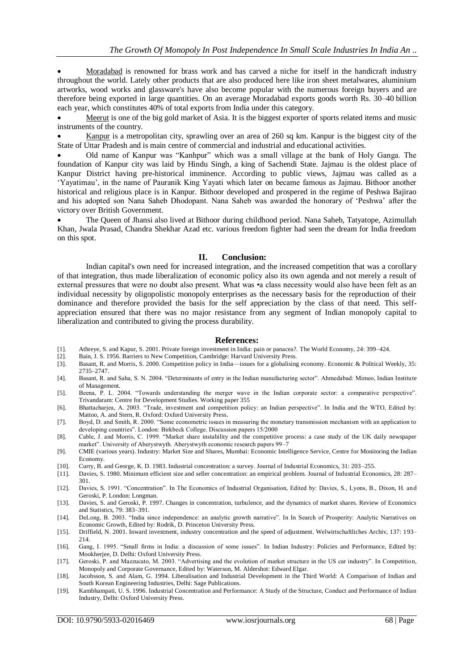Moradabad is renowned for brass work and has carved a niche for itself in the handicraft industry throughout the world. Lately other products that are also produced here like iron sheet metalwares, aluminium artworks, wood works and glassware's have also become popular with the numerous foreign buyers and are therefore being exported in large quantities. On an average Moradabad exports goods worth Rs. 30–40 billion each year, which constitutes 40% of total exports from India under this category.

 Meerut is one of the big gold market of Asia. It is the biggest exporter of sports related items and music instruments of the country.

 Kanpur is a metropolitan city, sprawling over an area of 260 sq km. Kanpur is the biggest city of the State of Uttar Pradesh and is main centre of commercial and industrial and educational activities.

 Old name of Kanpur was "Kanhpur" which was a small village at the bank of Holy Ganga. The foundation of Kanpur city was laid by Hindu Singh, a king of Sachendi State. Jajmau is the oldest place of Kanpur District having pre-historical imminence. According to public views, Jajmau was called as a 'Yayatimau', in the name of Pauranik King Yayati which later on became famous as Jajmau. Bithoor another historical and religious place is in Kanpur. Bithoor developed and prospered in the regime of Peshwa Bajirao and his adopted son Nana Saheb Dhodopant. Nana Saheb was awarded the honorary of 'Peshwa' after the victory over British Government.

 The Queen of Jhansi also lived at Bithoor during childhood period. Nana Saheb, Tatyatope, Azimullah Khan, Jwala Prasad, Chandra Shekhar Azad etc. various freedom fighter had seen the dream for India freedom on this spot.

#### **II. Conclusion:**

Indian capital's own need for increased integration, and the increased competition that was a corollary of that integration, thus made liberalization of economic policy also its own agenda and not merely a result of external pressures that were no doubt also present. What was •a class necessity would also have been felt as an individual necessity by oligopolistic monopoly enterprises as the necessary basis for the reproduction of their dominance and therefore provided the basis for the self appreciation by the class of that need. This selfappreciation ensured that there was no major resistance from any segment of Indian monopoly capital to liberalization and contributed to giving the process durability.

#### **References:**

- [1]. Athreye, S. and Kapur, S. 2001. Private foreign investment in India: pain or panacea?. The World Economy, 24: 399–424.
- [2]. Bain, J. S. 1956. Barriers to New Competition, Cambridge: Harvard University Press.
- [3]. Basant, R. and Morris, S. 2000. Competition policy in India—issues for a globalising economy. Economic & Political Weekly, 35: 2735–2747.
- [4]. Basant, R. and Saha, S. N. 2004. "Determinants of entry in the Indian manufacturing sector". Ahmedabad: Mimeo, Indian Institute of Management.
- [5]. Beena, P. L. 2004. "Towards understanding the merger wave in the Indian corporate sector: a comparative perspective". Trivandaram: Centre for Development Studies. Working paper 355
- [6]. Bhattacharjea, A. 2003. "Trade, investment and competition policy: an Indian perspective". In India and the WTO, Edited by: Mattoo, A. and Stern, R. Oxford: Oxford University Press.
- [7]. Boyd, D. and Smith, R. 2000. "Some econometric issues in measuring the monetary transmission mechanism with an application to developing countries". London: Birkbeck College. Discussion papers 15/2000
- [8]. Cable, J. and Morris, C. 1999. "Market share instability and the competitive process: a case study of the UK daily newspaper market". University of Aberystwyth. Aberystwyth economic research papers 99–7
- [9]. CMIE (various years). Industry: Market Size and Shares, Mumbai: Economic Intelligence Service, Centre for Monitoring the Indian Economy.
- [10]. Curry, B. and George, K. D. 1983. Industrial concentration: a survey. Journal of Industrial Economics, 31: 203–255.
- [11]. Davies, S. 1980. Minimum efficient size and seller concentration: an empirical problem. Journal of Industrial Economics, 28: 287– 301.
- [12]. Davies, S. 1991. "Concentration". In The Economics of Industrial Organisation, Edited by: Davies, S., Lyons, B., Dixon, H. and Geroski, P. London: Longman.
- [13]. Davies, S. and Geroski, P. 1997. Changes in concentration, turbulence, and the dynamics of market shares. Review of Economics and Statistics, 79: 383–391.
- [14]. DeLong, B. 2003. "India since independence: an analytic growth narrative". In In Search of Prosperity: Analytic Narratives on Economic Growth, Edited by: Rodrik, D. Princeton University Press.
- [15]. Driffield, N. 2001. Inward investment, industry concentration and the speed of adjustment. Welwirtschaftliches Archiv, 137: 193– 214.
- [16]. Gang, I. 1995. "Small firms in India: a discussion of some issues". In Indian Industry: Policies and Performance, Edited by: Mookherjee, D. Delhi: Oxford University Press.
- [17]. Geroski, P. and Mazzucato, M. 2003. "Advertising and the evolution of market structure in the US car industry". In Competition, Monopoly and Corporate Governance, Edited by: Waterson, M. Aldershot: Edward Elgar.
- [18]. Jacobsson, S. and Alam, G. 1994. Liberalisation and Industrial Development in the Third World: A Comparison of Indian and South Korean Engineering Industries, Delhi: Sage Publications.
- [19]. Kambhampati, U. S. 1996. Industrial Concentration and Performance: A Study of the Structure, Conduct and Performance of Indian Industry, Delhi: Oxford University Press.